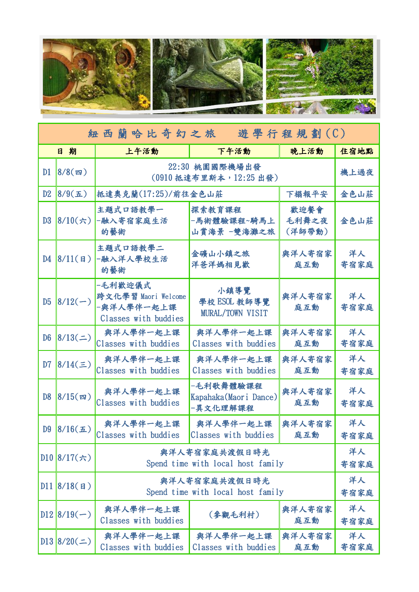

| 紐西蘭哈比奇幻之旅<br>遊學行程規劃(C) |                       |                                                                      |                                                |                         |            |  |  |
|------------------------|-----------------------|----------------------------------------------------------------------|------------------------------------------------|-------------------------|------------|--|--|
|                        | 日期                    | 上午活動                                                                 | 下午活動                                           | 晚上活動                    | 住宿地點       |  |  |
| D1                     | $8/8($ 四)             | 22:30 桃園國際機場出發<br>(0910 抵達布里斯本, 12:25 出發)                            | 機上過夜                                           |                         |            |  |  |
| D <sub>2</sub>         | $8/9(\pm)$            | 抵達奧克蘭(17:25)/前往金色山莊                                                  | 下榻報平安                                          | 金色山莊                    |            |  |  |
| D3                     | $ 8/10(\frac{1}{2}) $ | 主題式口語教學一<br>-融入寄宿家庭生活<br>的藝術                                         | 探索教育課程<br>-馬術體驗課程~騎馬上<br>山賞海景 一雙海灘之旅           | 歡迎餐會<br>毛利舞之夜<br>(洋師帶動) | 金色山莊       |  |  |
| D4                     | 8/11(  <b>H</b>  )    | 主題式口語教學二<br>-融入洋人學校生活<br>的藝術                                         | 金礦山小鎮之旅<br>洋爸洋媽相見歡                             | 與洋人寄宿家<br>庭互動           | 洋人<br>寄宿家庭 |  |  |
| D <sub>5</sub>         | $ 8/12(-) $           | -毛利歡迎儀式<br>跨文化學習 Maori Welcome<br>-與洋人學伴一起上課<br>Classes with buddies | 小鎮導覽<br>學校 ESOL 教師導覽<br>MURAL/TOWN VISIT       | 與洋人寄宿家<br>庭互動           | 洋人<br>寄宿家庭 |  |  |
| D <sub>6</sub>         | 8/13(                 | 與洋人學伴一起上課<br>Classes with buddies                                    | 與洋人學伴一起上課<br>Classes with buddies              | 與洋人寄宿家<br>庭互動           | 洋人<br>寄宿家庭 |  |  |
| D <sub>7</sub>         | $8/14(\equiv)$        | 與洋人學伴一起上課<br>Classes with buddies                                    | 與洋人學伴一起上課<br>Classes with buddies              | 與洋人寄宿家<br>庭互動           | 洋人<br>寄宿家庭 |  |  |
| D <sub>8</sub>         | $8/15($ 四)            | 與洋人學伴一起上課<br>Classes with buddies                                    | -毛利歌舞體驗課程<br>Kapahaka(Maori Dance)<br>-異文化理解課程 | 與洋人寄宿家<br>庭互動           | 洋人<br>寄宿家庭 |  |  |
| D <sub>9</sub>         | $8/16(\pm)$           | 與洋人學伴一起上課<br>Classes with buddies                                    | 與洋人學伴一起上課<br>Classes with buddies              | 與洋人寄宿家<br>庭互動           | 洋人<br>寄宿家庭 |  |  |
|                        | $D10$  8/17(六)        | 與洋人寄宿家庭共渡假日時光<br>Spend time with local host family                   | 洋人<br>寄宿家庭                                     |                         |            |  |  |
|                        | DI1 8/18(H)           | 與洋人寄宿家庭共渡假日時光<br>Spend time with local host family                   | 洋人<br>寄宿家庭                                     |                         |            |  |  |
|                        | $D12 8/19(-)$         | 與洋人學伴一起上課<br>Classes with buddies                                    | (參觀毛利村)                                        | 與洋人寄宿家<br>庭互動           | 洋人<br>寄宿家庭 |  |  |
|                        | $D13 8/20(\pm)$       | 與洋人學伴一起上課<br>Classes with buddies                                    | 與洋人學伴一起上課<br>Classes with buddies              | 與洋人寄宿家<br>庭互動           | 洋人<br>寄宿家庭 |  |  |